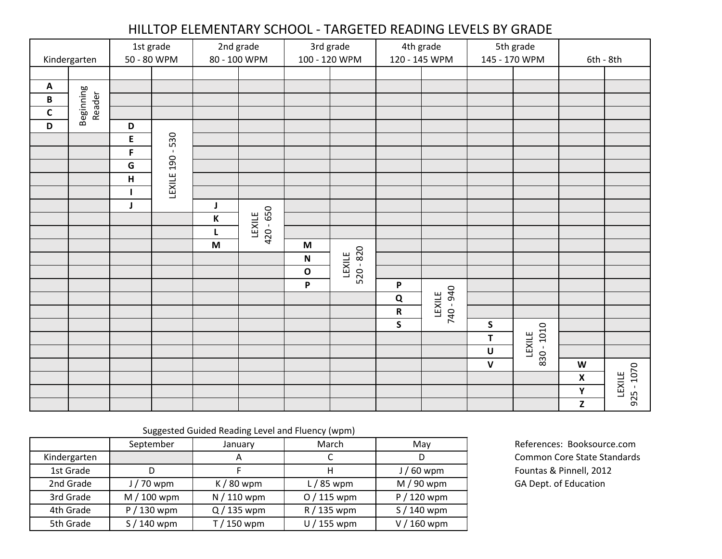## HILLTOP ELEMENTARY SCHOOL - TARGETED READING LEVELS BY GRADE

|              |                     | 1st grade   |            | 2nd grade                                        |                     | 3rd grade     |                       | 4th grade     |                     | 5th grade                                        |            |                    |                        |
|--------------|---------------------|-------------|------------|--------------------------------------------------|---------------------|---------------|-----------------------|---------------|---------------------|--------------------------------------------------|------------|--------------------|------------------------|
| Kindergarten |                     | 50 - 80 WPM |            | 80 - 100 WPM                                     |                     | 100 - 120 WPM |                       | 120 - 145 WPM |                     | 145 - 170 WPM                                    |            | 6th - 8th          |                        |
|              |                     |             |            |                                                  |                     |               |                       |               |                     |                                                  |            |                    |                        |
| Α<br>B       | Beginning<br>Reader |             |            |                                                  |                     |               |                       |               |                     |                                                  |            |                    |                        |
| $\mathsf{C}$ |                     |             |            |                                                  |                     |               |                       |               |                     |                                                  |            |                    |                        |
| D            |                     | D           |            |                                                  |                     |               |                       |               |                     |                                                  |            |                    |                        |
|              |                     | E           |            |                                                  |                     |               |                       |               |                     |                                                  |            |                    |                        |
|              |                     | $\mathsf F$ | $-530$     |                                                  |                     |               |                       |               |                     |                                                  |            |                    |                        |
|              |                     | G           |            |                                                  |                     |               |                       |               |                     |                                                  |            |                    |                        |
|              |                     | Н           | LEXILE 190 |                                                  |                     |               |                       |               |                     |                                                  |            |                    |                        |
|              |                     | 1           |            |                                                  |                     |               |                       |               |                     |                                                  |            |                    |                        |
|              |                     | J           |            | J                                                |                     |               |                       |               |                     |                                                  |            |                    |                        |
|              |                     |             |            | К                                                | 420 - 650<br>LEXILE |               |                       |               |                     |                                                  |            |                    |                        |
|              |                     |             |            | L                                                |                     |               |                       |               |                     |                                                  |            |                    |                        |
|              |                     |             |            | M                                                |                     | M             |                       |               |                     |                                                  |            |                    |                        |
|              |                     |             |            |                                                  |                     | ${\bf N}$     | $520 - 820$<br>LEXILE |               |                     |                                                  |            |                    |                        |
|              |                     |             |            |                                                  |                     | O             |                       |               |                     |                                                  |            |                    |                        |
|              |                     |             |            |                                                  |                     | P             |                       | P             |                     |                                                  |            |                    |                        |
|              |                     |             |            |                                                  |                     |               |                       | $\mathbf Q$   | 740 - 940<br>LEXILE |                                                  |            |                    |                        |
|              |                     |             |            |                                                  |                     |               |                       | ${\sf R}$     |                     |                                                  |            |                    |                        |
|              |                     |             |            |                                                  |                     |               |                       | $\mathsf{S}$  |                     | ${\sf S}$<br>T                                   |            |                    |                        |
|              |                     |             |            |                                                  |                     |               |                       |               |                     | $\mathsf U$                                      | LEXILE     |                    |                        |
|              |                     |             |            |                                                  |                     |               |                       |               |                     | $\mathbf v$                                      | 830 - 1010 | W                  |                        |
|              |                     |             |            |                                                  |                     |               |                       |               |                     |                                                  |            | $\pmb{\mathsf{X}}$ |                        |
|              |                     |             |            |                                                  |                     |               |                       |               |                     |                                                  |            | Υ                  | $925 - 1070$<br>LEXILE |
|              |                     |             |            |                                                  |                     |               |                       |               |                     |                                                  |            | $\mathbf{Z}$       |                        |
|              |                     |             |            |                                                  |                     |               |                       |               |                     |                                                  |            |                    |                        |
|              |                     |             |            | Suggested Guided Reading Level and Fluency (wpm) |                     |               |                       |               |                     |                                                  |            |                    |                        |
|              |                     | September   |            | January                                          |                     | March         |                       | May           |                     | References: Booksource.com                       |            |                    |                        |
| Kindergarten |                     |             |            | A                                                |                     | $\mathsf C$   |                       | D             |                     | Common Core State Standards                      |            |                    |                        |
| 1st Grade    |                     | $\mathsf D$ |            | F.                                               |                     | H             |                       | $J/60$ wpm    |                     | Fountas & Pinnell, 2012<br>GA Dept. of Education |            |                    |                        |
| 2nd Grade    |                     | $J/70$ wpm  |            | $K/80$ wpm                                       |                     | $L/85$ wpm    |                       | $M/90$ wpm    |                     |                                                  |            |                    |                        |
| 3rd Grade    |                     | $M/100$ wpm |            | N / 110 wpm                                      |                     | $O/115$ wpm   |                       | $P / 120$ wpm |                     |                                                  |            |                    |                        |
| 4th Grade    |                     | $P/130$ wpm |            | $Q / 135$ wpm                                    |                     | R / 135 wpm   |                       | $S/140$ wpm   |                     |                                                  |            |                    |                        |
| 5th Grade    |                     | S / 140 wpm |            | T / 150 wpm                                      |                     | U / 155 wpm   |                       | V / 160 wpm   |                     |                                                  |            |                    |                        |

|              | September   | January     | March       | Mav         |
|--------------|-------------|-------------|-------------|-------------|
| Kindergarten |             | A           |             |             |
| 1st Grade    |             |             |             | $J/60$ wpm  |
| 2nd Grade    | $J/70$ wpm  | $K/80$ wpm  | $L/85$ wpm  | $M/90$ wpm  |
| 3rd Grade    | $M/100$ wpm | $N/110$ wpm | $O/115$ wpm | $P/120$ wpm |
| 4th Grade    | $P/130$ wpm | $Q/135$ wpm | R / 135 wpm | $S/140$ wpm |
| 5th Grade    | $S/140$ wpm | $T/150$ wpm | $U/155$ wpm | $V/160$ wpm |